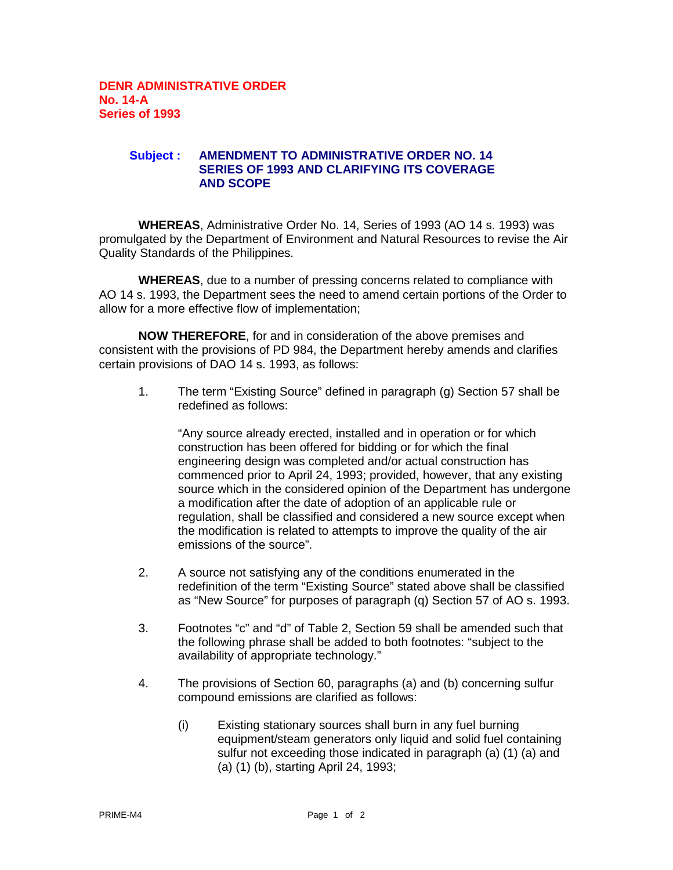## **Subject : AMENDMENT TO ADMINISTRATIVE ORDER NO. 14 SERIES OF 1993 AND CLARIFYING ITS COVERAGE AND SCOPE**

**WHEREAS**, Administrative Order No. 14, Series of 1993 (AO 14 s. 1993) was promulgated by the Department of Environment and Natural Resources to revise the Air Quality Standards of the Philippines.

**WHEREAS**, due to a number of pressing concerns related to compliance with AO 14 s. 1993, the Department sees the need to amend certain portions of the Order to allow for a more effective flow of implementation;

**NOW THEREFORE**, for and in consideration of the above premises and consistent with the provisions of PD 984, the Department hereby amends and clarifies certain provisions of DAO 14 s. 1993, as follows:

1. The term "Existing Source" defined in paragraph (g) Section 57 shall be redefined as follows:

"Any source already erected, installed and in operation or for which construction has been offered for bidding or for which the final engineering design was completed and/or actual construction has commenced prior to April 24, 1993; provided, however, that any existing source which in the considered opinion of the Department has undergone a modification after the date of adoption of an applicable rule or regulation, shall be classified and considered a new source except when the modification is related to attempts to improve the quality of the air emissions of the source".

- 2. A source not satisfying any of the conditions enumerated in the redefinition of the term "Existing Source" stated above shall be classified as "New Source" for purposes of paragraph (q) Section 57 of AO s. 1993.
- 3. Footnotes "c" and "d" of Table 2, Section 59 shall be amended such that the following phrase shall be added to both footnotes: "subject to the availability of appropriate technology."
- 4. The provisions of Section 60, paragraphs (a) and (b) concerning sulfur compound emissions are clarified as follows:
	- (i) Existing stationary sources shall burn in any fuel burning equipment/steam generators only liquid and solid fuel containing sulfur not exceeding those indicated in paragraph (a) (1) (a) and (a) (1) (b), starting April 24, 1993;